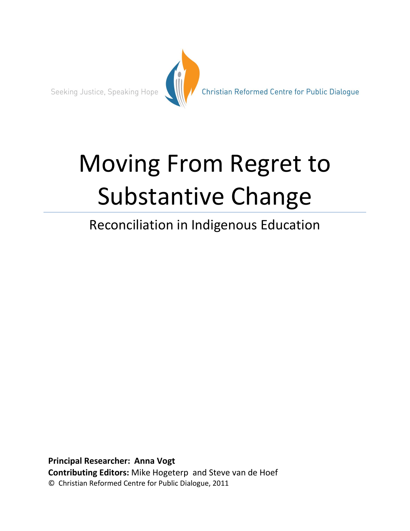

Christian Reformed Centre for Public Dialogue

# Moving From Regret to Substantive Change

# Reconciliation in Indigenous Education

**Principal Researcher: Anna Vogt Contributing Editors:** Mike Hogeterp and Steve van de Hoef © Christian Reformed Centre for Public Dialogue, 2011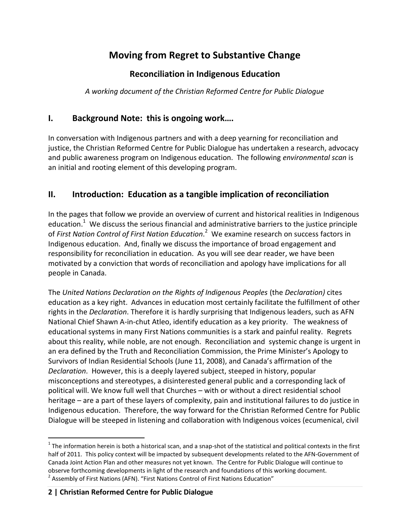# **Moving from Regret to Substantive Change**

# **Reconciliation in Indigenous Education**

*A working document of the Christian Reformed Centre for Public Dialogue*

# **I. Background Note: this is ongoing work….**

In conversation with Indigenous partners and with a deep yearning for reconciliation and justice, the Christian Reformed Centre for Public Dialogue has undertaken a research, advocacy and public awareness program on Indigenous education. The following *environmental scan* is an initial and rooting element of this developing program.

# **II. Introduction: Education as a tangible implication of reconciliation**

In the pages that follow we provide an overview of current and historical realities in Indigenous education.<sup>1</sup> We discuss the serious financial and administrative barriers to the justice principle of *First Nation Control of First Nation Education*. 2 We examine research on success factors in Indigenous education. And, finally we discuss the importance of broad engagement and responsibility for reconciliation in education. As you will see dear reader, we have been motivated by a conviction that words of reconciliation and apology have implications for all people in Canada.

The *United Nations Declaration on the Rights of Indigenous Peoples* (the *Declaration)* cites education as a key right. Advances in education most certainly facilitate the fulfillment of other rights in the *Declaration*. Therefore it is hardly surprising that Indigenous leaders, such as AFN National Chief Shawn A-in-chut Atleo, identify education as a key priority. The weakness of educational systems in many First Nations communities is a stark and painful reality. Regrets about this reality, while noble, are not enough. Reconciliation and systemic change is urgent in an era defined by the Truth and Reconciliation Commission, the Prime Minister's Apology to Survivors of Indian Residential Schools (June 11, 2008), and Canada's affirmation of the *Declaration*. However, this is a deeply layered subject, steeped in history, popular misconceptions and stereotypes, a disinterested general public and a corresponding lack of political will. We know full well that Churches – with or without a direct residential school heritage – are a part of these layers of complexity, pain and institutional failures to do justice in Indigenous education. Therefore, the way forward for the Christian Reformed Centre for Public Dialogue will be steeped in listening and collaboration with Indigenous voices (ecumenical, civil

 $^1$  The information herein is both a historical scan, and a snap-shot of the statistical and political contexts in the first half of 2011. This policy context will be impacted by subsequent developments related to the AFN-Government of Canada Joint Action Plan and other measures not yet known. The Centre for Public Dialogue will continue to observe forthcoming developments in light of the research and foundations of this working document. <sup>2</sup> Assembly of First Nations (AFN). "First Nations Control of First Nations Education"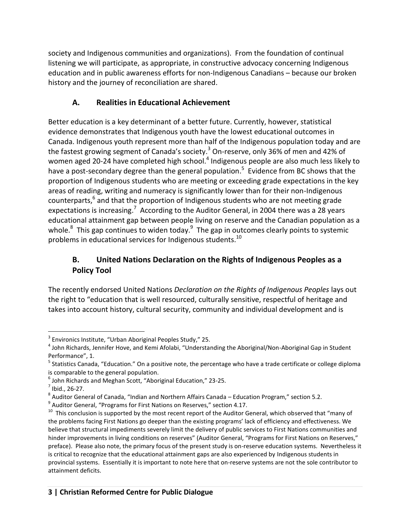society and Indigenous communities and organizations). From the foundation of continual listening we will participate, as appropriate, in constructive advocacy concerning Indigenous education and in public awareness efforts for non-Indigenous Canadians – because our broken history and the journey of reconciliation are shared.

# **A. Realities in Educational Achievement**

Better education is a key determinant of a better future. Currently, however, statistical evidence demonstrates that Indigenous youth have the lowest educational outcomes in Canada. Indigenous youth represent more than half of the Indigenous population today and are the fastest growing segment of Canada's society.<sup>3</sup> On-reserve, only 36% of men and 42% of women aged 20-24 have completed high school.<sup>4</sup> Indigenous people are also much less likely to have a post-secondary degree than the general population.<sup>5</sup> Evidence from BC shows that the proportion of Indigenous students who are meeting or exceeding grade expectations in the key areas of reading, writing and numeracy is significantly lower than for their non-Indigenous counterparts,<sup>6</sup> and that the proportion of Indigenous students who are not meeting grade expectations is increasing.<sup>7</sup> According to the Auditor General, in 2004 there was a 28 years educational attainment gap between people living on reserve and the Canadian population as a whole. $^8$  This gap continues to widen today. $^9$  The gap in outcomes clearly points to systemic problems in educational services for Indigenous students.<sup>10</sup>

## **B. United Nations Declaration on the Rights of Indigenous Peoples as a Policy Tool**

The recently endorsed United Nations *Declaration on the Rights of Indigenous Peoples* lays out the right to "education that is well resourced, culturally sensitive, respectful of heritage and takes into account history, cultural security, community and individual development and is

 $\overline{a}$  $3$  Environics Institute, "Urban Aboriginal Peoples Study," 25.

<sup>&</sup>lt;sup>4</sup> John Richards, Jennifer Hove, and Kemi Afolabi, "Understanding the Aboriginal/Non-Aboriginal Gap in Student Performance", 1.

<sup>&</sup>lt;sup>5</sup> Statistics Canada, "Education." On a positive note, the percentage who have a trade certificate or college diploma is comparable to the general population.

<sup>6</sup> John Richards and Meghan Scott, "Aboriginal Education," 23-25.

 $<sup>7</sup>$  Ibid., 26-27.</sup>

 $^8$  Auditor General of Canada, "Indian and Northern Affairs Canada – Education Program," section 5.2.

 $^9$  Auditor General, "Programs for First Nations on Reserves," section 4.17.

 $^{10}$  This conclusion is supported by the most recent report of the Auditor General, which observed that "many of the problems facing First Nations go deeper than the existing programs' lack of efficiency and effectiveness. We believe that structural impediments severely limit the delivery of public services to First Nations communities and hinder improvements in living conditions on reserves" (Auditor General, "Programs for First Nations on Reserves," preface). Please also note, the primary focus of the present study is on-reserve education systems. Nevertheless it is critical to recognize that the educational attainment gaps are also experienced by Indigenous students in provincial systems. Essentially it is important to note here that on-reserve systems are not the sole contributor to attainment deficits.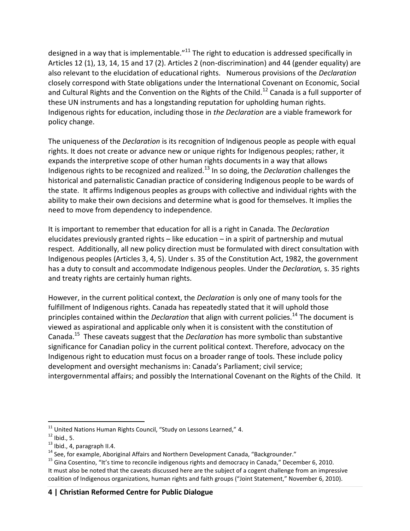designed in a way that is implementable."<sup>11</sup> The right to education is addressed specifically in Articles 12 (1), 13, 14, 15 and 17 (2). Articles 2 (non-discrimination) and 44 (gender equality) are also relevant to the elucidation of educational rights. Numerous provisions of the *Declaration* closely correspond with State obligations under the International Covenant on Economic, Social and Cultural Rights and the Convention on the Rights of the Child.<sup>12</sup> Canada is a full supporter of these UN instruments and has a longstanding reputation for upholding human rights. Indigenous rights for education, including those in *the Declaration* are a viable framework for policy change.

The uniqueness of the *Declaration* is its recognition of Indigenous people as people with equal rights. It does not create or advance new or unique rights for Indigenous peoples; rather, it expands the interpretive scope of other human rights documents in a way that allows Indigenous rights to be recognized and realized.<sup>13</sup> In so doing, the *Declaration* challenges the historical and paternalistic Canadian practice of considering Indigenous people to be wards of the state. It affirms Indigenous peoples as groups with collective and individual rights with the ability to make their own decisions and determine what is good for themselves. It implies the need to move from dependency to independence.

It is important to remember that education for all is a right in Canada. The *Declaration* elucidates previously granted rights – like education – in a spirit of partnership and mutual respect. Additionally, all new policy direction must be formulated with direct consultation with Indigenous peoples (Articles 3, 4, 5). Under s. 35 of the Constitution Act, 1982, the government has a duty to consult and accommodate Indigenous peoples. Under the *Declaration,* s. 35 rights and treaty rights are certainly human rights.

However, in the current political context, the *Declaration* is only one of many tools for the fulfillment of Indigenous rights. Canada has repeatedly stated that it will uphold those principles contained within the *Declaration* that align with current policies.<sup>14</sup> The document is viewed as aspirational and applicable only when it is consistent with the constitution of Canada.<sup>15</sup> These caveats suggest that the *Declaration* has more symbolic than substantive significance for Canadian policy in the current political context. Therefore, advocacy on the Indigenous right to education must focus on a broader range of tools. These include policy development and oversight mechanisms in: Canada's Parliament; civil service; intergovernmental affairs; and possibly the International Covenant on the Rights of the Child. It

 $^{11}$  United Nations Human Rights Council, "Study on Lessons Learned," 4.

 $12$  Ibid., 5.

 $13$  Ibid., 4, paragraph II.4.

<sup>&</sup>lt;sup>14</sup> See, for example, Aboriginal Affairs and Northern Development Canada, "Backgrounder."

<sup>&</sup>lt;sup>15</sup> Gina Cosentino, "It's time to reconcile indigenous rights and democracy in Canada," December 6, 2010. It must also be noted that the caveats discussed here are the subject of a cogent challenge from an impressive coalition of Indigenous organizations, human rights and faith groups ("Joint Statement," November 6, 2010).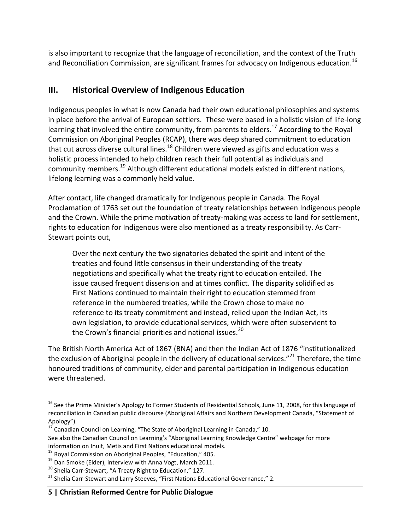is also important to recognize that the language of reconciliation, and the context of the Truth and Reconciliation Commission, are significant frames for advocacy on Indigenous education.<sup>16</sup>

# **III. Historical Overview of Indigenous Education**

Indigenous peoples in what is now Canada had their own educational philosophies and systems in place before the arrival of European settlers. These were based in a holistic vision of life-long learning that involved the entire community, from parents to elders.<sup>17</sup> According to the Royal Commission on Aboriginal Peoples (RCAP), there was deep shared commitment to education that cut across diverse cultural lines.<sup>18</sup> Children were viewed as gifts and education was a holistic process intended to help children reach their full potential as individuals and community members.<sup>19</sup> Although different educational models existed in different nations, lifelong learning was a commonly held value.

After contact, life changed dramatically for Indigenous people in Canada. The Royal Proclamation of 1763 set out the foundation of treaty relationships between Indigenous people and the Crown. While the prime motivation of treaty-making was access to land for settlement, rights to education for Indigenous were also mentioned as a treaty responsibility. As Carr-Stewart points out,

Over the next century the two signatories debated the spirit and intent of the treaties and found little consensus in their understanding of the treaty negotiations and specifically what the treaty right to education entailed. The issue caused frequent dissension and at times conflict. The disparity solidified as First Nations continued to maintain their right to education stemmed from reference in the numbered treaties, while the Crown chose to make no reference to its treaty commitment and instead, relied upon the Indian Act, its own legislation, to provide educational services, which were often subservient to the Crown's financial priorities and national issues.<sup>20</sup>

The British North America Act of 1867 (BNA) and then the Indian Act of 1876 "institutionalized the exclusion of Aboriginal people in the delivery of educational services."<sup>21</sup> Therefore, the time honoured traditions of community, elder and parental participation in Indigenous education were threatened.

 $\overline{a}$ 

<sup>&</sup>lt;sup>16</sup> See the Prime Minister's Apology to Former Students of Residential Schools, June 11, 2008, for this language of reconciliation in Canadian public discourse (Aboriginal Affairs and Northern Development Canada, "Statement of Apology").

 $^{17}$  Canadian Council on Learning, "The State of Aboriginal Learning in Canada," 10. See also the Canadian Council on Learning's "Aboriginal Learning Knowledge Centre" webpage for more

information on Inuit, Metis and First Nations educational models.

<sup>&</sup>lt;sup>18</sup> Royal Commission on Aboriginal Peoples, "Education," 405.

<sup>&</sup>lt;sup>19</sup> Dan Smoke (Elder), interview with Anna Vogt, March 2011.

<sup>&</sup>lt;sup>20</sup> Sheila Carr-Stewart, "A Treaty Right to Education," 127.

<sup>&</sup>lt;sup>21</sup> Shelia Carr-Stewart and Larry Steeves, "First Nations Educational Governance," 2.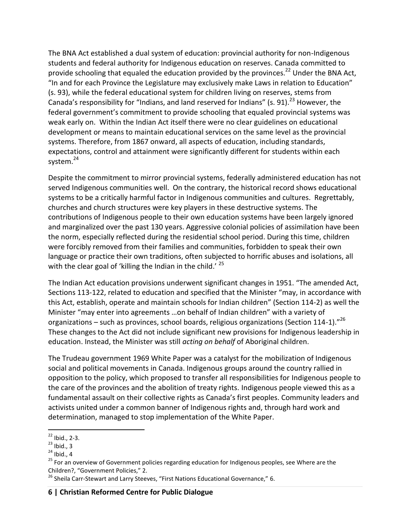The BNA Act established a dual system of education: provincial authority for non-Indigenous students and federal authority for Indigenous education on reserves. Canada committed to provide schooling that equaled the education provided by the provinces.<sup>22</sup> Under the BNA Act, "In and for each Province the Legislature may exclusively make Laws in relation to Education" (s. 93), while the federal educational system for children living on reserves, stems from Canada's responsibility for "Indians, and land reserved for Indians" (s. 91).<sup>23</sup> However, the federal government's commitment to provide schooling that equaled provincial systems was weak early on. Within the Indian Act itself there were no clear guidelines on educational development or means to maintain educational services on the same level as the provincial systems. Therefore, from 1867 onward, all aspects of education, including standards, expectations, control and attainment were significantly different for students within each system.<sup>24</sup>

Despite the commitment to mirror provincial systems, federally administered education has not served Indigenous communities well. On the contrary, the historical record shows educational systems to be a critically harmful factor in Indigenous communities and cultures. Regrettably, churches and church structures were key players in these destructive systems. The contributions of Indigenous people to their own education systems have been largely ignored and marginalized over the past 130 years. Aggressive colonial policies of assimilation have been the norm, especially reflected during the residential school period. During this time, children were forcibly removed from their families and communities, forbidden to speak their own language or practice their own traditions, often subjected to horrific abuses and isolations, all with the clear goal of 'killing the Indian in the child.' <sup>25</sup>

The Indian Act education provisions underwent significant changes in 1951. "The amended Act, Sections 113-122, related to education and specified that the Minister "may, in accordance with this Act, establish, operate and maintain schools for Indian children" (Section 114-2) as well the Minister "may enter into agreements …on behalf of Indian children" with a variety of organizations – such as provinces, school boards, religious organizations (Section 114-1)."<sup>26</sup> These changes to the Act did not include significant new provisions for Indigenous leadership in education. Instead, the Minister was still *acting on behalf* of Aboriginal children.

The Trudeau government 1969 White Paper was a catalyst for the mobilization of Indigenous social and political movements in Canada. Indigenous groups around the country rallied in opposition to the policy, which proposed to transfer all responsibilities for Indigenous people to the care of the provinces and the abolition of treaty rights. Indigenous people viewed this as a fundamental assault on their collective rights as Canada's first peoples. Community leaders and activists united under a common banner of Indigenous rights and, through hard work and determination, managed to stop implementation of the White Paper.

 $\overline{a}$  $22$  Ibid., 2-3.

 $^{23}$  Ibid., 3

 $24$  Ibid., 4

<sup>&</sup>lt;sup>25</sup> For an overview of Government policies regarding education for Indigenous peoples, see Where are the Children?, "Government Policies," 2.

<sup>&</sup>lt;sup>26</sup> Sheila Carr-Stewart and Larry Steeves, "First Nations Educational Governance," 6.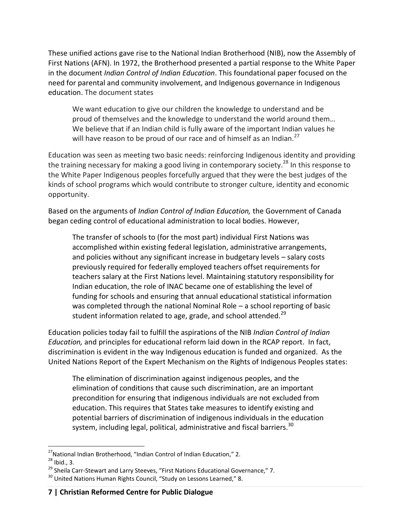These unified actions gave rise to the National Indian Brotherhood (NIB), now the Assembly of First Nations (AFN). In 1972, the Brotherhood presented a partial response to the White Paper in the document *Indian Control of Indian Education*. This foundational paper focused on the need for parental and community involvement, and Indigenous governance in Indigenous education. The document states

We want education to give our children the knowledge to understand and be proud of themselves and the knowledge to understand the world around them… We believe that if an Indian child is fully aware of the important Indian values he will have reason to be proud of our race and of himself as an Indian.<sup>27</sup>

Education was seen as meeting two basic needs: reinforcing Indigenous identity and providing the training necessary for making a good living in contemporary society.<sup>28</sup> In this response to the White Paper Indigenous peoples forcefully argued that they were the best judges of the kinds of school programs which would contribute to stronger culture, identity and economic opportunity.

Based on the arguments of *Indian Control of Indian Education,* the Government of Canada began ceding control of educational administration to local bodies. However,

The transfer of schools to (for the most part) individual First Nations was accomplished within existing federal legislation, administrative arrangements, and policies without any significant increase in budgetary levels – salary costs previously required for federally employed teachers offset requirements for teachers salary at the First Nations level. Maintaining statutory responsibility for Indian education, the role of INAC became one of establishing the level of funding for schools and ensuring that annual educational statistical information was completed through the national Nominal Role – a school reporting of basic student information related to age, grade, and school attended.<sup>29</sup>

Education policies today fail to fulfill the aspirations of the NIB *Indian Control of Indian Education,* and principles for educational reform laid down in the RCAP report. In fact, discrimination is evident in the way Indigenous education is funded and organized. As the United Nations Report of the Expert Mechanism on the Rights of Indigenous Peoples states:

The elimination of discrimination against indigenous peoples, and the elimination of conditions that cause such discrimination, are an important precondition for ensuring that indigenous individuals are not excluded from education. This requires that States take measures to identify existing and potential barriers of discrimination of indigenous individuals in the education system, including legal, political, administrative and fiscal barriers.<sup>30</sup>

 $\overline{a}$  $^{27}$ National Indian Brotherhood, "Indian Control of Indian Education," 2.

 $28$  Ibid., 3.

<sup>&</sup>lt;sup>29</sup> Sheila Carr-Stewart and Larry Steeves, "First Nations Educational Governance," 7.

<sup>&</sup>lt;sup>30</sup> United Nations Human Rights Council, "Study on Lessons Learned," 8.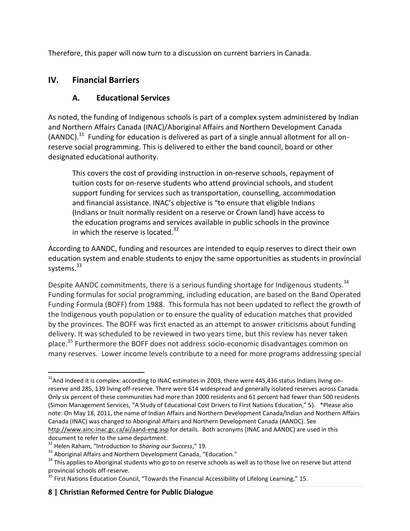Therefore, this paper will now turn to a discussion on current barriers in Canada.

# **IV. Financial Barriers**

# **A. Educational Services**

As noted, the funding of Indigenous schools is part of a complex system administered by Indian and Northern Affairs Canada (INAC)/Aboriginal Affairs and Northern Development Canada (AANDC). $^{31}$  Funding for education is delivered as part of a single annual allotment for all onreserve social programming. This is delivered to either the band council, board or other designated educational authority.

This covers the cost of providing instruction in on-reserve schools, repayment of tuition costs for on-reserve students who attend provincial schools, and student support funding for services such as transportation, counselling, accommodation and financial assistance. INAC's objective is "to ensure that eligible Indians (Indians or Inuit normally resident on a reserve or Crown land) have access to the education programs and services available in public schools in the province in which the reserve is located. $32$ 

According to AANDC, funding and resources are intended to equip reserves to direct their own education system and enable students to enjoy the same opportunities as students in provincial systems.<sup>33</sup>

Despite AANDC commitments, there is a serious funding shortage for Indigenous students.<sup>34</sup> Funding formulas for social programming, including education, are based on the Band Operated Funding Formula (BOFF) from 1988. This formula has not been updated to reflect the growth of the Indigenous youth population or to ensure the quality of education matches that provided by the provinces. The BOFF was first enacted as an attempt to answer criticisms about funding delivery. It was scheduled to be reviewed in two years time, but this review has never taken place.<sup>35</sup> Furthermore the BOFF does not address socio-economic disadvantages common on many reserves. Lower income levels contribute to a need for more programs addressing special

 $\overline{a}$ <sup>31</sup>And indeed it is complex: according to INAC estimates in 2003, there were 445,436 status Indians living onreserve and 285, 139 living off-reserve. There were 614 widespread and generally isolated reserves across Canada. Only six percent of these communities had more than 2000 residents and 61 percent had fewer than 500 residents (Simon Management Services, "A Study of Educational Cost Drivers to First Nations Education," 5). \*Please also note: On May 18, 2011, the name of Indian Affairs and Northern Development Canada/Indian and Northern Affairs Canada (INAC) was changed to Aboriginal Affairs and Northern Development Canada (AANDC). See <http://www.ainc-inac.gc.ca/ai/aand-eng.asp> for details. Both acronyms (INAC and AANDC) are used in this document to refer to the same department.

<sup>32</sup> Helen Raham, "Introduction to *Sharing our Success*," 19.

<sup>&</sup>lt;sup>33</sup> Aboriginal Affairs and Northern Development Canada, "Education."

<sup>&</sup>lt;sup>34</sup> This applies to Aboriginal students who go to on reserve schools as well as to those live on reserve but attend provincial schools off-reserve.

 $^{35}$  First Nations Education Council, "Towards the Financial Accessibility of Lifelong Learning," 15.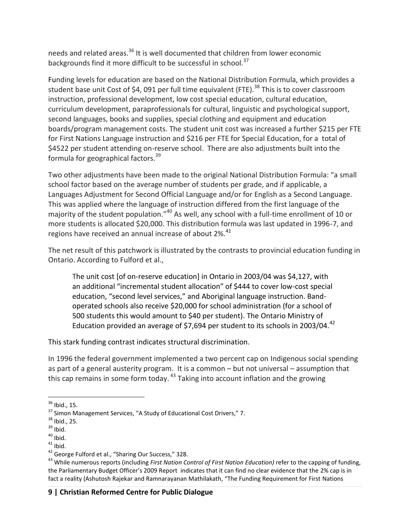needs and related areas.<sup>36</sup> It is well documented that children from lower economic backgrounds find it more difficult to be successful in school.<sup>37</sup>

Funding levels for education are based on the National Distribution Formula, which provides a student base unit Cost of \$4, 091 per full time equivalent (FTE).<sup>38</sup> This is to cover classroom instruction, professional development, low cost special education, cultural education, curriculum development, paraprofessionals for cultural, linguistic and psychological support, second languages, books and supplies, special clothing and equipment and education boards/program management costs. The student unit cost was increased a further \$215 per FTE for First Nations Language instruction and \$216 per FTE for Special Education, for a total of \$4522 per student attending on-reserve school. There are also adjustments built into the formula for geographical factors.<sup>39</sup>

Two other adjustments have been made to the original National Distribution Formula: "a small school factor based on the average number of students per grade, and if applicable, a Languages Adjustment for Second Official Language and/or for English as a Second Language. This was applied where the language of instruction differed from the first language of the majority of the student population."<sup>40</sup> As well, any school with a full-time enrollment of 10 or more students is allocated \$20,000. This distribution formula was last updated in 1996-7, and regions have received an annual increase of about 2%.<sup>41</sup>

The net result of this patchwork is illustrated by the contrasts to provincial education funding in Ontario. According to Fulford et al.,

The unit cost [of on-reserve education] in Ontario in 2003/04 was \$4,127, with an additional "incremental student allocation" of \$444 to cover low-cost special education, "second level services," and Aboriginal language instruction. Bandoperated schools also receive \$20,000 for school administration (for a school of 500 students this would amount to \$40 per student). The Ontario Ministry of Education provided an average of \$7,694 per student to its schools in 2003/04. $42$ 

This stark funding contrast indicates structural discrimination.

In 1996 the federal government implemented a two percent cap on Indigenous social spending as part of a general austerity program. It is a common – but not universal – assumption that this cap remains in some form today. <sup>43</sup> Taking into account inflation and the growing

 $\overline{a}$  $36$  Ibid., 15.

<sup>&</sup>lt;sup>37</sup> Simon Management Services, "A Study of Educational Cost Drivers," 7.

 $38$  Ibid., 25.

 $39$  Ibid.

 $40$  Ibid.

 $41$  Ibid.

<sup>&</sup>lt;sup>42</sup> George Fulford et al., "Sharing Our Success," 328.

<sup>43</sup> While numerous reports (including *First Nation Control of First Nation Education)* refer to the capping of funding, the Parliamentary Budget Officer's 2009 Report indicates that it can find no clear evidence that the 2% cap is in fact a reality (Ashutosh Rajekar and Ramnarayanan Mathilakath, "The Funding Requirement for First Nations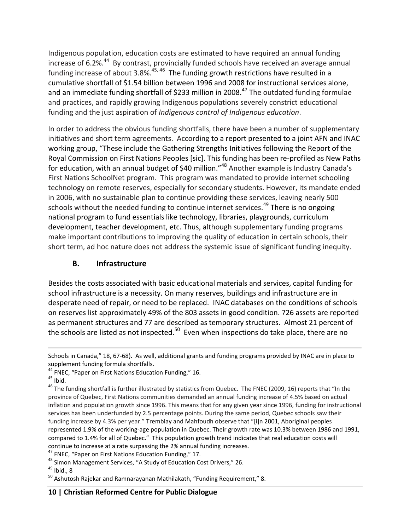Indigenous population, education costs are estimated to have required an annual funding increase of 6.2%.<sup>44</sup> By contrast, provincially funded schools have received an average annual funding increase of about 3.8%.<sup>45, 46</sup> The funding growth restrictions have resulted in a cumulative shortfall of \$1.54 billion between 1996 and 2008 for instructional services alone, and an immediate funding shortfall of \$233 million in 2008.<sup>47</sup> The outdated funding formulae and practices, and rapidly growing Indigenous populations severely constrict educational funding and the just aspiration of *Indigenous control of Indigenous education*.

In order to address the obvious funding shortfalls, there have been a number of supplementary initiatives and short term agreements. According to a report presented to a joint AFN and INAC working group, "These include the Gathering Strengths Initiatives following the Report of the Royal Commission on First Nations Peoples [sic]. This funding has been re-profiled as New Paths for education, with an annual budget of \$40 million."<sup>48</sup> Another example is Industry Canada's First Nations SchoolNet program. This program was mandated to provide internet schooling technology on remote reserves, especially for secondary students. However, its mandate ended in 2006, with no sustainable plan to continue providing these services, leaving nearly 500 schools without the needed funding to continue internet services.<sup>49</sup> There is no ongoing national program to fund essentials like technology, libraries, playgrounds, curriculum development, teacher development, etc. Thus, although supplementary funding programs make important contributions to improving the quality of education in certain schools, their short term, ad hoc nature does not address the systemic issue of significant funding inequity.

## **B. Infrastructure**

Besides the costs associated with basic educational materials and services, capital funding for school infrastructure is a necessity. On many reserves, buildings and infrastructure are in desperate need of repair, or need to be replaced. INAC databases on the conditions of schools on reserves list approximately 49% of the 803 assets in good condition. 726 assets are reported as permanent structures and 77 are described as temporary structures. Almost 21 percent of the schools are listed as not inspected. $50$  Even when inspections do take place, there are no

 $\overline{a}$ 

 $49$  Ibid., 8

Schools in Canada," 18, 67-68). As well, additional grants and funding programs provided by INAC are in place to supplement funding formula shortfalls.

<sup>&</sup>lt;sup>44</sup> FNEC, "Paper on First Nations Education Funding," 16.

 $45$  Ibid.

<sup>&</sup>lt;sup>46</sup> The funding shortfall is further illustrated by statistics from Quebec. The FNEC (2009, 16) reports that "In the province of Quebec, First Nations communities demanded an annual funding increase of 4.5% based on actual inflation and population growth since 1996. This means that for any given year since 1996, funding for instructional services has been underfunded by 2.5 percentage points. During the same period, Quebec schools saw their funding increase by 4.3% per year." Tremblay and Mahfoudh observe that "[i]n 2001, Aboriginal peoples represented 1.9% of the working-age population in Quebec. Their growth rate was 10.3% between 1986 and 1991, compared to 1.4% for all of Quebec." This population growth trend indicates that real education costs will continue to increase at a rate surpassing the 2% annual funding increases.

<sup>&</sup>lt;sup>47</sup> FNEC, "Paper on First Nations Education Funding," 17.

<sup>48</sup> Simon Management Services, "A Study of Education Cost Drivers," 26.

 $50$  Ashutosh Rajekar and Ramnarayanan Mathilakath, "Funding Requirement," 8.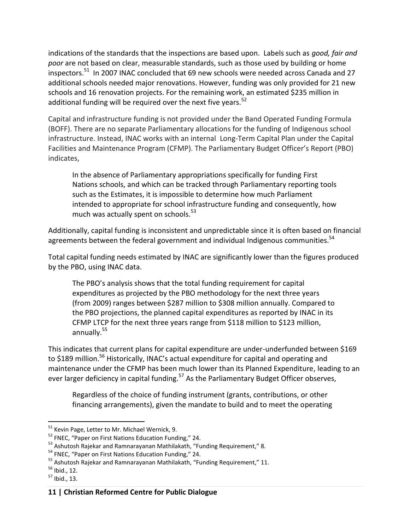indications of the standards that the inspections are based upon. Labels such as *good, fair and poor* are not based on clear, measurable standards, such as those used by building or home inspectors.<sup>51</sup> In 2007 INAC concluded that 69 new schools were needed across Canada and 27 additional schools needed major renovations. However, funding was only provided for 21 new schools and 16 renovation projects. For the remaining work, an estimated \$235 million in additional funding will be required over the next five years. $52$ 

Capital and infrastructure funding is not provided under the Band Operated Funding Formula (BOFF). There are no separate Parliamentary allocations for the funding of Indigenous school infrastructure. Instead, INAC works with an internal Long-Term Capital Plan under the Capital Facilities and Maintenance Program (CFMP). The Parliamentary Budget Officer's Report (PBO) indicates,

In the absence of Parliamentary appropriations specifically for funding First Nations schools, and which can be tracked through Parliamentary reporting tools such as the Estimates, it is impossible to determine how much Parliament intended to appropriate for school infrastructure funding and consequently, how much was actually spent on schools.<sup>53</sup>

Additionally, capital funding is inconsistent and unpredictable since it is often based on financial agreements between the federal government and individual Indigenous communities.  $54$ 

Total capital funding needs estimated by INAC are significantly lower than the figures produced by the PBO, using INAC data.

The PBO's analysis shows that the total funding requirement for capital expenditures as projected by the PBO methodology for the next three years (from 2009) ranges between \$287 million to \$308 million annually. Compared to the PBO projections, the planned capital expenditures as reported by INAC in its CFMP LTCP for the next three years range from \$118 million to \$123 million, annually.<sup>55</sup>

This indicates that current plans for capital expenditure are under-underfunded between \$169 to \$189 million.<sup>56</sup> Historically, INAC's actual expenditure for capital and operating and maintenance under the CFMP has been much lower than its Planned Expenditure, leading to an ever larger deficiency in capital funding.<sup>57</sup> As the Parliamentary Budget Officer observes,

Regardless of the choice of funding instrument (grants, contributions, or other financing arrangements), given the mandate to build and to meet the operating

 $\overline{a}$ <sup>51</sup> Kevin Page, Letter to Mr. Michael Wernick, 9.

<sup>&</sup>lt;sup>52</sup> FNEC, "Paper on First Nations Education Funding," 24.

<sup>&</sup>lt;sup>53</sup> Ashutosh Rajekar and Ramnarayanan Mathilakath, "Funding Requirement," 8.

<sup>&</sup>lt;sup>54</sup> FNEC, "Paper on First Nations Education Funding," 24.

<sup>&</sup>lt;sup>55</sup> Ashutosh Rajekar and Ramnarayanan Mathilakath, "Funding Requirement," 11.

 $56$  Ibid., 12.

 $57$  Ibid., 13.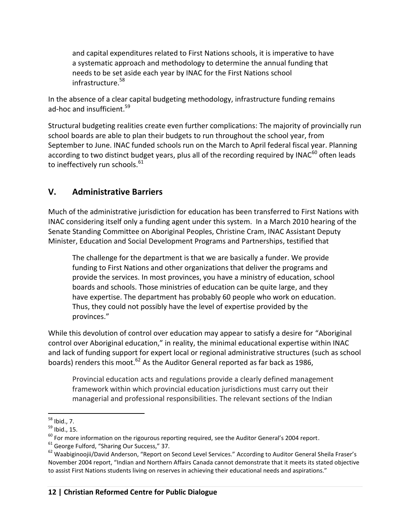and capital expenditures related to First Nations schools, it is imperative to have a systematic approach and methodology to determine the annual funding that needs to be set aside each year by INAC for the First Nations school infrastructure.<sup>58</sup>

In the absence of a clear capital budgeting methodology, infrastructure funding remains ad-hoc and insufficient.<sup>59</sup>

Structural budgeting realities create even further complications: The majority of provincially run school boards are able to plan their budgets to run throughout the school year, from September to June. INAC funded schools run on the March to April federal fiscal year. Planning according to two distinct budget years, plus all of the recording required by INAC<sup>60</sup> often leads to ineffectively run schools. $^{61}$ 

# **V. Administrative Barriers**

Much of the administrative jurisdiction for education has been transferred to First Nations with INAC considering itself only a funding agent under this system. In a March 2010 hearing of the Senate Standing Committee on Aboriginal Peoples, Christine Cram, INAC Assistant Deputy Minister, Education and Social Development Programs and Partnerships, testified that

The challenge for the department is that we are basically a funder. We provide funding to First Nations and other organizations that deliver the programs and provide the services. In most provinces, you have a ministry of education, school boards and schools. Those ministries of education can be quite large, and they have expertise. The department has probably 60 people who work on education. Thus, they could not possibly have the level of expertise provided by the provinces."

While this devolution of control over education may appear to satisfy a desire for "Aboriginal control over Aboriginal education," in reality, the minimal educational expertise within INAC and lack of funding support for expert local or regional administrative structures (such as school boards) renders this moot.<sup>62</sup> As the Auditor General reported as far back as 1986,

Provincial education acts and regulations provide a clearly defined management framework within which provincial education jurisdictions must carry out their managerial and professional responsibilities. The relevant sections of the Indian

 $\overline{a}$ <sup>58</sup> Ibid., 7.

<sup>59</sup> Ibid., 15.

 $60$  For more information on the rigourous reporting required, see the Auditor General's 2004 report.

 $61$  George Fulford, "Sharing Our Success," 37.

<sup>&</sup>lt;sup>62</sup> Waabiginoojii/David Anderson, "Report on Second Level Services." According to Auditor General Sheila Fraser's November 2004 report, "Indian and Northern Affairs Canada cannot demonstrate that it meets its stated objective to assist First Nations students living on reserves in achieving their educational needs and aspirations."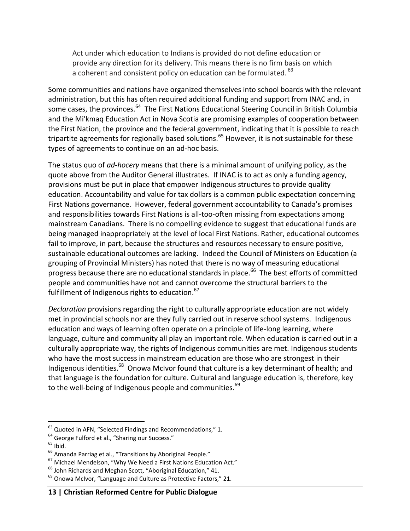Act under which education to Indians is provided do not define education or provide any direction for its delivery. This means there is no firm basis on which a coherent and consistent policy on education can be formulated. <sup>63</sup>

Some communities and nations have organized themselves into school boards with the relevant administration, but this has often required additional funding and support from INAC and, in some cases, the provinces.<sup>64</sup> The First Nations Educational Steering Council in British Columbia and the Mi'kmaq Education Act in Nova Scotia are promising examples of cooperation between the First Nation, the province and the federal government, indicating that it is possible to reach tripartite agreements for regionally based solutions.<sup>65</sup> However, it is not sustainable for these types of agreements to continue on an ad-hoc basis.

The status quo of *ad-hocery* means that there is a minimal amount of unifying policy, as the quote above from the Auditor General illustrates. If INAC is to act as only a funding agency, provisions must be put in place that empower Indigenous structures to provide quality education. Accountability and value for tax dollars is a common public expectation concerning First Nations governance. However, federal government accountability to Canada's promises and responsibilities towards First Nations is all-too-often missing from expectations among mainstream Canadians. There is no compelling evidence to suggest that educational funds are being managed inappropriately at the level of local First Nations. Rather, educational outcomes fail to improve, in part, because the structures and resources necessary to ensure positive, sustainable educational outcomes are lacking. Indeed the Council of Ministers on Education (a grouping of Provincial Ministers) has noted that there is no way of measuring educational progress because there are no educational standards in place.<sup>66</sup> The best efforts of committed people and communities have not and cannot overcome the structural barriers to the fulfillment of Indigenous rights to education. $67$ 

*Declaration* provisions regarding the right to culturally appropriate education are not widely met in provincial schools nor are they fully carried out in reserve school systems. Indigenous education and ways of learning often operate on a principle of life-long learning, where language, culture and community all play an important role. When education is carried out in a culturally appropriate way, the rights of Indigenous communities are met. Indigenous students who have the most success in mainstream education are those who are strongest in their Indigenous identities.<sup>68</sup> Onowa McIvor found that culture is a key determinant of health; and that language is the foundation for culture. Cultural and language education is, therefore, key to the well-being of Indigenous people and communities.<sup>69</sup>

 $^{63}$  Quoted in AFN, "Selected Findings and Recommendations," 1.

<sup>&</sup>lt;sup>64</sup> George Fulford et al., "Sharing our Success."

 $65$  Ibid.

<sup>&</sup>lt;sup>66</sup> Amanda Parriag et al., "Transitions by Aboriginal People."

<sup>67</sup> Michael Mendelson, "Why We Need a First Nations Education Act."

 $68$  John Richards and Meghan Scott, "Aboriginal Education," 41.

 $69$  Onowa McIvor, "Language and Culture as Protective Factors," 21.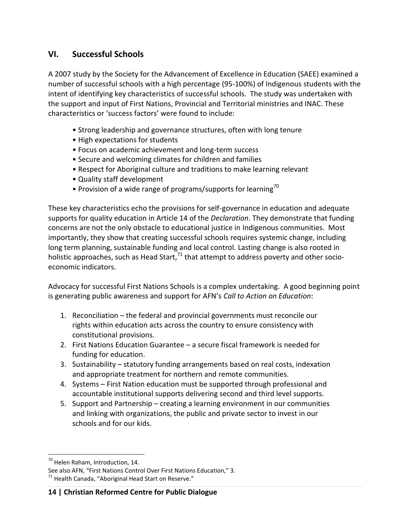# **VI. Successful Schools**

A 2007 study by the Society for the Advancement of Excellence in Education (SAEE) examined a number of successful schools with a high percentage (95-100%) of Indigenous students with the intent of identifying key characteristics of successful schools. The study was undertaken with the support and input of First Nations, Provincial and Territorial ministries and INAC. These characteristics or 'success factors' were found to include:

- Strong leadership and governance structures, often with long tenure
- High expectations for students
- Focus on academic achievement and long-term success
- Secure and welcoming climates for children and families
- Respect for Aboriginal culture and traditions to make learning relevant
- Quality staff development
- Provision of a wide range of programs/supports for learning<sup>70</sup>

These key characteristics echo the provisions for self-governance in education and adequate supports for quality education in Article 14 of the *Declaration*. They demonstrate that funding concerns are not the only obstacle to educational justice in Indigenous communities. Most importantly, they show that creating successful schools requires systemic change, including long term planning, sustainable funding and local control. Lasting change is also rooted in holistic approaches, such as Head Start, $71$  that attempt to address poverty and other socioeconomic indicators.

Advocacy for successful First Nations Schools is a complex undertaking. A good beginning point is generating public awareness and support for AFN's *Call to Action on Education*:

- 1. Reconciliation the federal and provincial governments must reconcile our rights within education acts across the country to ensure consistency with constitutional provisions.
- 2. First Nations Education Guarantee a secure fiscal framework is needed for funding for education.
- 3. Sustainability statutory funding arrangements based on real costs, indexation and appropriate treatment for northern and remote communities.
- 4. Systems First Nation education must be supported through professional and accountable institutional supports delivering second and third level supports.
- 5. Support and Partnership creating a learning environment in our communities and linking with organizations, the public and private sector to invest in our schools and for our kids.

 $\overline{a}$ <sup>70</sup> Helen Raham, Introduction, 14.

See also AFN, "First Nations Control Over First Nations Education," 3.  $71$  Health Canada, "Aboriginal Head Start on Reserve."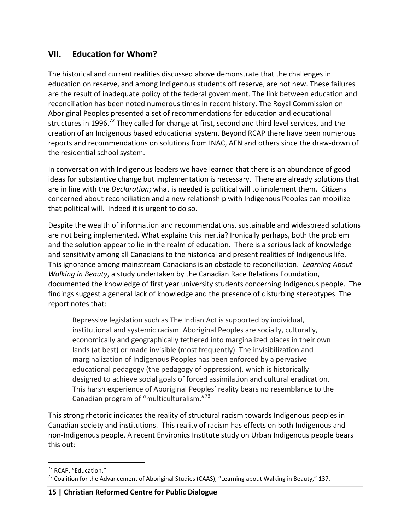## **VII. Education for Whom?**

The historical and current realities discussed above demonstrate that the challenges in education on reserve, and among Indigenous students off reserve, are not new. These failures are the result of inadequate policy of the federal government. The link between education and reconciliation has been noted numerous times in recent history. The Royal Commission on Aboriginal Peoples presented a set of recommendations for education and educational structures in 1996.<sup>72</sup> They called for change at first, second and third level services, and the creation of an Indigenous based educational system. Beyond RCAP there have been numerous reports and recommendations on solutions from INAC, AFN and others since the draw-down of the residential school system.

In conversation with Indigenous leaders we have learned that there is an abundance of good ideas for substantive change but implementation is necessary. There are already solutions that are in line with the *Declaration*; what is needed is political will to implement them. Citizens concerned about reconciliation and a new relationship with Indigenous Peoples can mobilize that political will. Indeed it is urgent to do so.

Despite the wealth of information and recommendations, sustainable and widespread solutions are not being implemented. What explains this inertia? Ironically perhaps, both the problem and the solution appear to lie in the realm of education. There is a serious lack of knowledge and sensitivity among all Canadians to the historical and present realities of Indigenous life. This ignorance among mainstream Canadians is an obstacle to reconciliation. *Learning About Walking in Beauty*, a study undertaken by the Canadian Race Relations Foundation, documented the knowledge of first year university students concerning Indigenous people. The findings suggest a general lack of knowledge and the presence of disturbing stereotypes. The report notes that:

Repressive legislation such as The Indian Act is supported by individual, institutional and systemic racism. Aboriginal Peoples are socially, culturally, economically and geographically tethered into marginalized places in their own lands (at best) or made invisible (most frequently). The invisibilization and marginalization of Indigenous Peoples has been enforced by a pervasive educational pedagogy (the pedagogy of oppression), which is historically designed to achieve social goals of forced assimilation and cultural eradication. This harsh experience of Aboriginal Peoples' reality bears no resemblance to the Canadian program of "multiculturalism."<sup>73</sup>

This strong rhetoric indicates the reality of structural racism towards Indigenous peoples in Canadian society and institutions. This reality of racism has effects on both Indigenous and non-Indigenous people. A recent Environics Institute study on Urban Indigenous people bears this out:

 $\overline{a}$ <sup>72</sup> RCAP, "Education."

 $^{73}$  Coalition for the Advancement of Aboriginal Studies (CAAS), "Learning about Walking in Beauty," 137.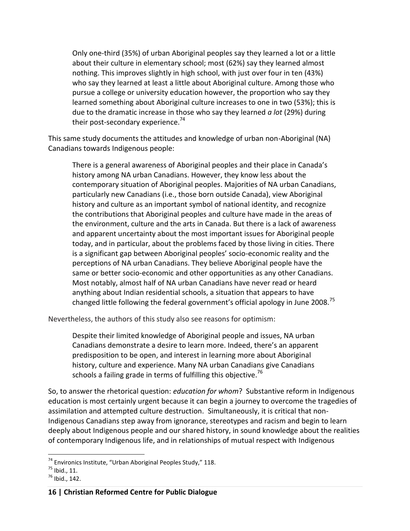Only one-third (35%) of urban Aboriginal peoples say they learned a lot or a little about their culture in elementary school; most (62%) say they learned almost nothing. This improves slightly in high school, with just over four in ten (43%) who say they learned at least a little about Aboriginal culture. Among those who pursue a college or university education however, the proportion who say they learned something about Aboriginal culture increases to one in two (53%); this is due to the dramatic increase in those who say they learned *a lot* (29%) during their post-secondary experience.<sup>74</sup>

This same study documents the attitudes and knowledge of urban non-Aboriginal (NA) Canadians towards Indigenous people:

There is a general awareness of Aboriginal peoples and their place in Canada's history among NA urban Canadians. However, they know less about the contemporary situation of Aboriginal peoples. Majorities of NA urban Canadians, particularly new Canadians (i.e., those born outside Canada), view Aboriginal history and culture as an important symbol of national identity, and recognize the contributions that Aboriginal peoples and culture have made in the areas of the environment, culture and the arts in Canada. But there is a lack of awareness and apparent uncertainty about the most important issues for Aboriginal people today, and in particular, about the problems faced by those living in cities. There is a significant gap between Aboriginal peoples' socio-economic reality and the perceptions of NA urban Canadians. They believe Aboriginal people have the same or better socio-economic and other opportunities as any other Canadians. Most notably, almost half of NA urban Canadians have never read or heard anything about Indian residential schools, a situation that appears to have changed little following the federal government's official apology in June 2008.<sup>75</sup>

Nevertheless, the authors of this study also see reasons for optimism:

Despite their limited knowledge of Aboriginal people and issues, NA urban Canadians demonstrate a desire to learn more. Indeed, there's an apparent predisposition to be open, and interest in learning more about Aboriginal history, culture and experience. Many NA urban Canadians give Canadians schools a failing grade in terms of fulfilling this objective.<sup>76</sup>

So, to answer the rhetorical question: *education for whom*? Substantive reform in Indigenous education is most certainly urgent because it can begin a journey to overcome the tragedies of assimilation and attempted culture destruction. Simultaneously, it is critical that non-Indigenous Canadians step away from ignorance, stereotypes and racism and begin to learn deeply about Indigenous people and our shared history, in sound knowledge about the realities of contemporary Indigenous life, and in relationships of mutual respect with Indigenous

<sup>&</sup>lt;sup>74</sup> Environics Institute, "Urban Aboriginal Peoples Study," 118.

 $^{75}$  Ibid., 11.

 $^{76}$  Ibid., 142.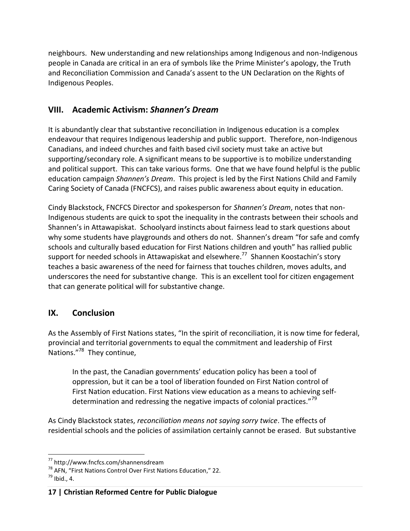neighbours. New understanding and new relationships among Indigenous and non-Indigenous people in Canada are critical in an era of symbols like the Prime Minister's apology, the Truth and Reconciliation Commission and Canada's assent to the UN Declaration on the Rights of Indigenous Peoples.

# **VIII. Academic Activism:** *Shannen's Dream*

It is abundantly clear that substantive reconciliation in Indigenous education is a complex endeavour that requires Indigenous leadership and public support. Therefore, non-Indigenous Canadians, and indeed churches and faith based civil society must take an active but supporting/secondary role. A significant means to be supportive is to mobilize understanding and political support. This can take various forms. One that we have found helpful is the public education campaign *Shannen's Dream*. This project is led by the First Nations Child and Family Caring Society of Canada (FNCFCS), and raises public awareness about equity in education.

Cindy Blackstock, FNCFCS Director and spokesperson for *Shannen's Dream*, notes that non-Indigenous students are quick to spot the inequality in the contrasts between their schools and Shannen's in Attawapiskat. Schoolyard instincts about fairness lead to stark questions about why some students have playgrounds and others do not. Shannen's dream "for safe and comfy schools and culturally based education for First Nations children and youth" has rallied public support for needed schools in Attawapiskat and elsewhere.<sup>77</sup> Shannen Koostachin's story teaches a basic awareness of the need for fairness that touches children, moves adults, and underscores the need for substantive change. This is an excellent tool for citizen engagement that can generate political will for substantive change.

#### **IX. Conclusion**

As the Assembly of First Nations states, "In the spirit of reconciliation, it is now time for federal, provincial and territorial governments to equal the commitment and leadership of First Nations."<sup>78</sup> They continue,

In the past, the Canadian governments' education policy has been a tool of oppression, but it can be a tool of liberation founded on First Nation control of First Nation education. First Nations view education as a means to achieving selfdetermination and redressing the negative impacts of colonial practices."<sup>79</sup>

As Cindy Blackstock states, *reconciliation means not saying sorry twice*. The effects of residential schools and the policies of assimilation certainly cannot be erased. But substantive

<sup>&</sup>lt;sup>77</sup> http://www.fncfcs.com/shannensdream

<sup>78</sup> AFN, "First Nations Control Over First Nations Education," 22.

 $^{79}$  Ibid., 4.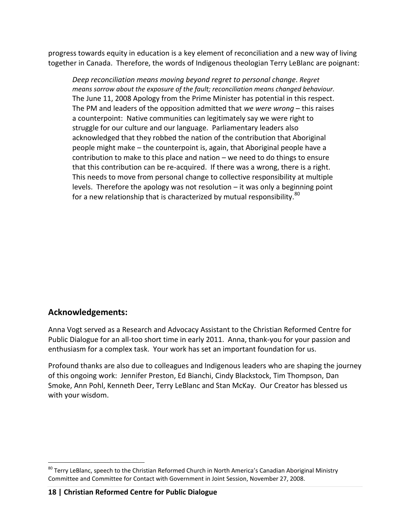progress towards equity in education is a key element of reconciliation and a new way of living together in Canada. Therefore, the words of Indigenous theologian Terry LeBlanc are poignant:

*Deep reconciliation means moving beyond regret to personal change*. *Regret means sorrow about the exposure of the fault; reconciliation means changed behaviour.* The June 11, 2008 Apology from the Prime Minister has potential in this respect. The PM and leaders of the opposition admitted that *we were wrong* – this raises a counterpoint: Native communities can legitimately say we were right to struggle for our culture and our language. Parliamentary leaders also acknowledged that they robbed the nation of the contribution that Aboriginal people might make – the counterpoint is, again, that Aboriginal people have a contribution to make to this place and nation – we need to do things to ensure that this contribution can be re-acquired. If there was a wrong, there is a right. This needs to move from personal change to collective responsibility at multiple levels. Therefore the apology was not resolution  $-$  it was only a beginning point for a new relationship that is characterized by mutual responsibility. $80$ 

#### **Acknowledgements:**

 $\overline{a}$ 

Anna Vogt served as a Research and Advocacy Assistant to the Christian Reformed Centre for Public Dialogue for an all-too short time in early 2011. Anna, thank-you for your passion and enthusiasm for a complex task. Your work has set an important foundation for us.

Profound thanks are also due to colleagues and Indigenous leaders who are shaping the journey of this ongoing work: Jennifer Preston, Ed Bianchi, Cindy Blackstock, Tim Thompson, Dan Smoke, Ann Pohl, Kenneth Deer, Terry LeBlanc and Stan McKay. Our Creator has blessed us with your wisdom.

<sup>&</sup>lt;sup>80</sup> Terry LeBlanc, speech to the Christian Reformed Church in North America's Canadian Aboriginal Ministry Committee and Committee for Contact with Government in Joint Session, November 27, 2008.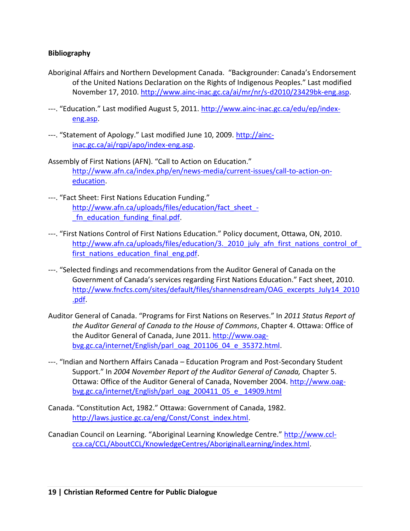#### **Bibliography**

- Aboriginal Affairs and Northern Development Canada. "Backgrounder: Canada's Endorsement of the United Nations Declaration on the Rights of Indigenous Peoples." Last modified November 17, 2010. [http://www.ainc-inac.gc.ca/ai/mr/nr/s-d2010/23429bk-eng.asp.](http://www.ainc-inac.gc.ca/ai/mr/nr/s-d2010/23429bk-eng.asp)
- ---. "Education." Last modified August 5, 2011. [http://www.ainc-inac.gc.ca/edu/ep/index](http://www.ainc-inac.gc.ca/edu/ep/index-eng.asp)[eng.asp.](http://www.ainc-inac.gc.ca/edu/ep/index-eng.asp)
- ---. "Statement of Apology." Last modified June 10, 2009. [http://ainc](http://ainc-inac.gc.ca/ai/rqpi/apo/index-eng.asp)[inac.gc.ca/ai/rqpi/apo/index-eng.asp.](http://ainc-inac.gc.ca/ai/rqpi/apo/index-eng.asp)
- Assembly of First Nations (AFN). "Call to Action on Education." [http://www.afn.ca/index.php/en/news-media/current-issues/call-to-action-on](http://www.afn.ca/index.php/en/news-media/current-issues/call-to-action-on-education)[education.](http://www.afn.ca/index.php/en/news-media/current-issues/call-to-action-on-education)
- ---. "Fact Sheet: First Nations Education Funding." http://www.afn.ca/uploads/files/education/fact sheet -[\\_fn\\_education\\_funding\\_final.pdf.](http://www.afn.ca/uploads/files/education/fact_sheet_-_fn_education_funding_final.pdf)
- ---. "First Nations Control of First Nations Education." Policy document, Ottawa, ON, 2010. http://www.afn.ca/uploads/files/education/3. 2010 july afn first nations control of [first\\_nations\\_education\\_final\\_eng.pdf.](http://www.afn.ca/uploads/files/education/3._2010_july_afn_first_nations_control_of_first_nations_education_final_eng.pdf)
- ---. "Selected findings and recommendations from the Auditor General of Canada on the Government of Canada's services regarding First Nations Education." Fact sheet, 2010. [http://www.fncfcs.com/sites/default/files/shannensdream/OAG\\_excerpts\\_July14\\_2010](http://www.fncfcs.com/sites/default/files/shannensdream/OAG_excerpts_July14_2010.pdf) [.pdf.](http://www.fncfcs.com/sites/default/files/shannensdream/OAG_excerpts_July14_2010.pdf)
- Auditor General of Canada. "Programs for First Nations on Reserves." In *2011 Status Report of the Auditor General of Canada to the House of Commons*, Chapter 4. Ottawa: Office of the Auditor General of Canada, June 2011. [http://www.oag](http://www.oag-bvg.gc.ca/internet/English/parl_oag_201106_04_e_35372.html)[bvg.gc.ca/internet/English/parl\\_oag\\_201106\\_04\\_e\\_35372.html.](http://www.oag-bvg.gc.ca/internet/English/parl_oag_201106_04_e_35372.html)
- ---. "Indian and Northern Affairs Canada Education Program and Post-Secondary Student Support." In *2004 November Report of the Auditor General of Canada,* Chapter 5. Ottawa: Office of the Auditor General of Canada, November 2004. [http://www.oag](http://www.oag-bvg.gc.ca/internet/English/parl_oag_200411_05_e_%2014909.html)[bvg.gc.ca/internet/English/parl\\_oag\\_200411\\_05\\_e\\_ 14909.html](http://www.oag-bvg.gc.ca/internet/English/parl_oag_200411_05_e_%2014909.html)
- Canada. "Constitution Act, 1982." Ottawa: Government of Canada, 1982. [http://laws.justice.gc.ca/eng/Const/Const\\_index.html.](http://laws.justice.gc.ca/eng/Const/Const_index.html)
- Canadian Council on Learning. "Aboriginal Learning Knowledge Centre." [http://www.ccl](http://www.ccl-cca.ca/CCL/AboutCCL/KnowledgeCentres/AboriginalLearning/index.html)[cca.ca/CCL/AboutCCL/KnowledgeCentres/AboriginalLearning/index.html.](http://www.ccl-cca.ca/CCL/AboutCCL/KnowledgeCentres/AboriginalLearning/index.html)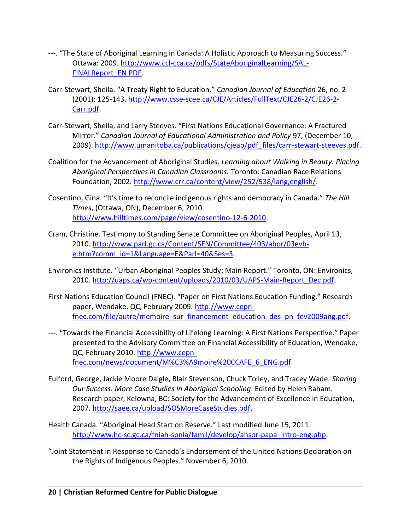- ---. "The State of Aboriginal Learning in Canada: A Holistic Approach to Measuring Success." Ottawa: 2009. [http://www.ccl-cca.ca/pdfs/StateAboriginalLearning/SAL-](http://www.ccl-cca.ca/pdfs/StateAboriginalLearning/SAL-FINALReport_EN.PDF)[FINALReport\\_EN.PDF.](http://www.ccl-cca.ca/pdfs/StateAboriginalLearning/SAL-FINALReport_EN.PDF)
- Carr-Stewart, Sheila. "A Treaty Right to Education." *Canadian Journal of Education* 26, no. 2 (2001): 125-143. [http://www.csse-scee.ca/CJE/Articles/FullText/CJE26-2/CJE26-2-](http://www.csse-scee.ca/CJE/Articles/FullText/CJE26-2/CJE26-2-Carr.pdf) [Carr.pdf.](http://www.csse-scee.ca/CJE/Articles/FullText/CJE26-2/CJE26-2-Carr.pdf)
- Carr-Stewart, Sheila, and Larry Steeves. "First Nations Educational Governance: A Fractured Mirror." *Canadian Journal of Educational Administration and Policy* 97, (December 10, 2009)[. http://www.umanitoba.ca/publications/cjeap/pdf\\_files/carr-stewart-steeves.pdf.](http://www.umanitoba.ca/publications/cjeap/pdf_files/carr-stewart-steeves.pdf)
- Coalition for the Advancement of Aboriginal Studies. *Learning about Walking in Beauty: Placing Aboriginal Perspectives in Canadian Classrooms.* Toronto: Canadian Race Relations Foundation, 2002. [http://www.crr.ca/content/view/252/538/lang,english/.](http://www.crr.ca/content/view/252/538/lang,english/)
- Cosentino, Gina. "It's time to reconcile indigenous rights and democracy in Canada." *The Hill Times*, (Ottawa, ON), December 6, 2010. [http://www.hilltimes.com/page/view/cosentino-12-6-2010.](http://www.hilltimes.com/page/view/cosentino-12-6-2010)
- Cram, Christine. Testimony to Standing Senate Committee on Aboriginal Peoples, April 13, 2010. [http://www.parl.gc.ca/Content/SEN/Committee/403/abor/03evb](http://www.parl.gc.ca/Content/SEN/Committee/403/abor/03evb-e.htm?comm_id=1&Language=E&Parl=40&Ses=3)[e.htm?comm\\_id=1&Language=E&Parl=40&Ses=3.](http://www.parl.gc.ca/Content/SEN/Committee/403/abor/03evb-e.htm?comm_id=1&Language=E&Parl=40&Ses=3)
- Environics Institute. "Urban Aboriginal Peoples Study: Main Report." Toronto, ON: Environics, 2010. [http://uaps.ca/wp-content/uploads/2010/03/UAPS-Main-Report\\_Dec.pdf.](http://uaps.ca/wp-content/uploads/2010/03/UAPS-Main-Report_Dec.pdf)
- First Nations Education Council (FNEC). "Paper on First Nations Education Funding." Research paper, Wendake, QC, February 2009. [http://www.cepn](http://www.cepn-fnec.com/file/autre/memoire_sur_financement_education_des_pn_fev2009ang.pdf)[fnec.com/file/autre/memoire\\_sur\\_financement\\_education\\_des\\_pn\\_fev2009ang.pdf.](http://www.cepn-fnec.com/file/autre/memoire_sur_financement_education_des_pn_fev2009ang.pdf)
- ---. "Towards the Financial Accessibility of Lifelong Learning: A First Nations Perspective." Paper presented to the Advisory Committee on Financial Accessibility of Education, Wendake, QC, February 2010. [http://www.cepn](http://www.cepn-fnec.com/news/document/M%C3%A9moire%20CCAFE_6_ENG.pdf)[fnec.com/news/document/M%C3%A9moire%20CCAFE\\_6\\_ENG.pdf.](http://www.cepn-fnec.com/news/document/M%C3%A9moire%20CCAFE_6_ENG.pdf)
- Fulford, George, Jackie Moore Daigle, Blair Stevenson, Chuck Tolley, and Tracey Wade. *Sharing Our Success: More Case Studies in Aboriginal Schooling*. Edited by Helen Raham. Research paper, Kelowna, BC: Society for the Advancement of Excellence in Education, 2007. [http://saee.ca/upload/SOSMoreCaseStudies.pdf.](http://saee.ca/upload/SOSMoreCaseStudies.pdf)
- Health Canada. "Aboriginal Head Start on Reserve." Last modified June 15, 2011. [http://www.hc-sc.gc.ca/fniah-spnia/famil/develop/ahsor-papa\\_intro-eng.php.](http://www.hc-sc.gc.ca/fniah-spnia/famil/develop/ahsor-papa_intro-eng.php)
- "Joint Statement in Response to Canada's Endorsement of the United Nations Declaration on the Rights of Indigenous Peoples." November 6, 2010.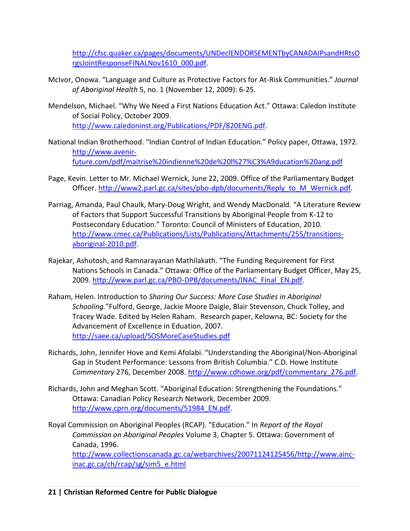[http://cfsc.quaker.ca/pages/documents/UNDeclENDORSEMENTbyCANADAIPsandHRtsO](http://cfsc.quaker.ca/pages/documents/UNDeclENDORSEMENTbyCANADAIPsandHRtsOrgsJointResponseFINALNov1610_000.pdf) [rgsJointResponseFINALNov1610\\_000.pdf.](http://cfsc.quaker.ca/pages/documents/UNDeclENDORSEMENTbyCANADAIPsandHRtsOrgsJointResponseFINALNov1610_000.pdf)

- McIvor, Onowa. "Language and Culture as Protective Factors for At-Risk Communities." *Journal of Aboriginal Health* 5, no. 1 (November 12, 2009): 6-25.
- Mendelson, Michael. "Why We Need a First Nations Education Act." Ottawa: Caledon Institute of Social Policy, October 2009. [http://www.caledoninst.org/Publications/PDF/820ENG.pdf.](http://www.caledoninst.org/Publications/PDF/820ENG.pdf)
- National Indian Brotherhood. "Indian Control of Indian Education." Policy paper, Ottawa, 1972. [http://www.avenir](http://www.avenir-future.com/pdf/maitrise%20indienne%20de%20l%27%C3%A9ducation%20ang.pdf)[future.com/pdf/maitrise%20indienne%20de%20l%27%C3%A9ducation%20ang.pdf](http://www.avenir-future.com/pdf/maitrise%20indienne%20de%20l%27%C3%A9ducation%20ang.pdf)
- Page, Kevin. Letter to Mr. Michael Wernick, June 22, 2009. Office of the Parliamentary Budget Officer. [http://www2.parl.gc.ca/sites/pbo-dpb/documents/Reply\\_to\\_M\\_Wernick.pdf.](http://www2.parl.gc.ca/sites/pbo-dpb/documents/Reply_to_M_Wernick.pdf)
- Parriag, Amanda, Paul Chaulk, Mary-Doug Wright, and Wendy MacDonald. "A Literature Review of Factors that Support Successful Transitions by Aboriginal People from K-12 to Postsecondary Education." Toronto: Council of Ministers of Education, 2010. [http://www.cmec.ca/Publications/Lists/Publications/Attachments/255/transitions](http://www.cmec.ca/Publications/Lists/Publications/Attachments/255/transitions-aboriginal-2010.pdf)[aboriginal-2010.pdf.](http://www.cmec.ca/Publications/Lists/Publications/Attachments/255/transitions-aboriginal-2010.pdf)
- Rajekar, Ashutosh, and Ramnarayanan Mathilakath. "The Funding Requirement for First Nations Schools in Canada." Ottawa: Office of the Parliamentary Budget Officer, May 25, 2009. [http://www.parl.gc.ca/PBO-DPB/documents/INAC\\_Final\\_EN.pdf.](http://www.parl.gc.ca/PBO-DPB/documents/INAC_Final_EN.pdf)
- Raham, Helen. Introduction to *Sharing Our Success: More Case Studies in Aboriginal Schooling.*"Fulford, George, Jackie Moore Daigle, Blair Stevenson, Chuck Tolley, and Tracey Wade. Edited by Helen Raham. Research paper, Kelowna, BC: Society for the Advancement of Excellence in Eduation, 2007. <http://saee.ca/upload/SOSMoreCaseStudies.pdf>
- Richards, John, Jennifer Hove and Kemi Afolabi. "Understanding the Aboriginal/Non-Aboriginal Gap in Student Performance: Lessons from British Columbia." C.D. Howe Institute *Commentary* 276, December 2008. [http://www.cdhowe.org/pdf/commentary\\_276.pdf.](http://www.cdhowe.org/pdf/commentary_276.pdf)
- Richards, John and Meghan Scott. "Aboriginal Education: Strengthening the Foundations." Ottawa: Canadian Policy Research Network, December 2009. [http://www.cprn.org/documents/51984\\_EN.pdf.](http://www.cprn.org/documents/51984_EN.pdf)
- Royal Commission on Aboriginal Peoples (RCAP). "Education." In *Report of the Royal Commission on Aboriginal Peoples* Volume 3, Chapter 5. Ottawa: Government of Canada, 1996.

[http://www.collectionscanada.gc.ca/webarchives/20071124125456/http://www.ainc](http://www.collectionscanada.gc.ca/webarchives/20071124125456/http:/www.ainc-inac.gc.ca/ch/rcap/sg/sim5_e.html)[inac.gc.ca/ch/rcap/sg/sim5\\_e.html](http://www.collectionscanada.gc.ca/webarchives/20071124125456/http:/www.ainc-inac.gc.ca/ch/rcap/sg/sim5_e.html)